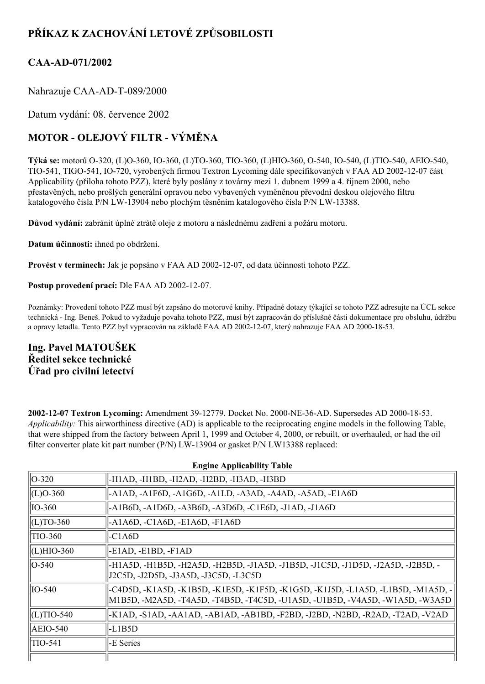# **PŘÍKAZ K ZACHOVÁNÍ LETOVÉ ZPŮSOBILOSTI**

# **CAAAD071/2002**

Nahrazuje CAA-AD-T-089/2000

Datum vydání: 08. července 2002

# **MOTOR OLEJOVÝ FILTR VÝMĚNA**

Týká se: motorů O-320, (L)O-360, IO-360, (L)TO-360, TIO-360, (L)HIO-360, O-540, IO-540, (L)TIO-540, AEIO-540, TIO-541, TIGO-541, IO-720, vyrobených firmou Textron Lycoming dále specifikovaných v FAA AD 2002-12-07 část Applicability (příloha tohoto PZZ), které byly poslány z továrny mezi 1. dubnem 1999 a 4. říjnem 2000, nebo přestavěných, nebo prošlých generální opravou nebo vybavených vyměněnou převodní deskou olejového filtru katalogového čísla P/N LW-13904 nebo plochým těsněním katalogového čísla P/N LW-13388.

**Důvod vydání:** zabránit úplné ztrátě oleje z motoru a následnému zadření a požáru motoru.

**Datum účinnosti:** ihned po obdržení.

**Provést v termínech:** Jak je popsáno v FAA AD 20021207, od data účinnosti tohoto PZZ.

**Postup provedení prací:** Dle FAA AD 2002-12-07.

Poznámky: Provedení tohoto PZZ musí být zapsáno do motorové knihy. Případné dotazy týkající se tohoto PZZ adresujte na ÚCL sekce technická - Ing. Beneš. Pokud to vyžaduje povaha tohoto PZZ, musí být zapracován do příslušné části dokumentace pro obsluhu, údržbu a opravy letadla. Tento PZZ byl vypracován na základě FAA AD 2002-12-07, který nahrazuje FAA AD 2000-18-53.

# **Ing. Pavel MATOUŠEK Ředitel sekce technické Úřad pro civilní letectví**

**2002-12-07 Textron Lycoming:** Amendment 39-12779. Docket No. 2000-NE-36-AD. Supersedes AD 2000-18-53. *Applicability:* This airworthiness directive (AD) is applicable to the reciprocating engine models in the following Table, that were shipped from the factory between April 1, 1999 and October 4, 2000, or rebuilt, or overhauled, or had the oil filter converter plate kit part number (P/N) LW13904 or gasket P/N LW13388 replaced:

| <b>Engine Applicability Table</b> |                                                                                                                                                                      |  |  |  |
|-----------------------------------|----------------------------------------------------------------------------------------------------------------------------------------------------------------------|--|--|--|
| $\parallel$ O-320                 | -H1AD, -H1BD, -H2AD, -H2BD, -H3AD, -H3BD                                                                                                                             |  |  |  |
| $\vert$ (L)O-360                  | -A1AD, -A1F6D, -A1G6D, -A1LD, -A3AD, -A4AD, -A5AD, -E1A6D                                                                                                            |  |  |  |
| $\parallel$ IO-360                | -A1B6D, -A1D6D, -A3B6D, -A3D6D, -C1E6D, -J1AD, -J1A6D                                                                                                                |  |  |  |
| $\vert$ (L)TO-360                 | $-AA6D, -C1A6D, -E1A6D, -F1A6D$                                                                                                                                      |  |  |  |
| <b>TIO-360</b>                    | $-C1A6D$                                                                                                                                                             |  |  |  |
| $ $ (L)HIO-360                    | $-E1AD, -E1BD, -F1AD$                                                                                                                                                |  |  |  |
| $ O-540\rangle$                   | -H1A5D, -H1B5D, -H2A5D, -H2B5D, -J1A5D, -J1B5D, -J1C5D, -J1D5D, -J2A5D, -J2B5D, -<br> J2C5D, -J2D5D, -J3A5D, -J3C5D, -L3C5D                                          |  |  |  |
| $IO-540$                          | -C4D5D, -K1A5D, -K1B5D, -K1E5D, -K1F5D, -K1G5D, -K1J5D, -L1A5D, -L1B5D, -M1A5D, -<br>  M1B5D, -M2A5D, -T4A5D, -T4B5D, -T4C5D, -U1A5D, -U1B5D, -V4A5D, -W1A5D, -W3A5D |  |  |  |
| $\vert$ (L)TIO-540                | -K1AD, -S1AD, -AA1AD, -AB1AD, -AB1BD, -F2BD, -J2BD, -N2BD, -R2AD, -T2AD, -V2AD                                                                                       |  |  |  |
| $AEIO-540$                        | -L1B5D                                                                                                                                                               |  |  |  |
| TIO-541                           | -E Series                                                                                                                                                            |  |  |  |
|                                   |                                                                                                                                                                      |  |  |  |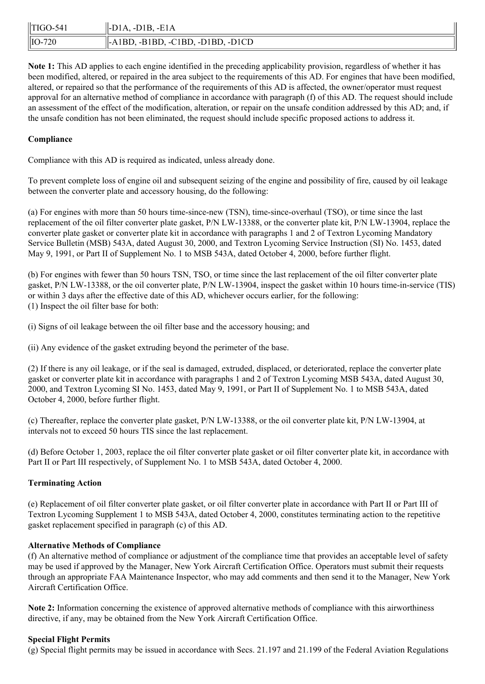| $  TIGO-541$       | $\parallel$ -D <sub>1</sub> A, -D <sub>1</sub> B, -E <sub>1</sub> A |
|--------------------|---------------------------------------------------------------------|
| $\parallel$ IO-720 | $\parallel$ -A1BD, -B1BD, -C1BD, -D1BD, -D1CD                       |

**Note 1:** This AD applies to each engine identified in the preceding applicability provision, regardless of whether it has been modified, altered, or repaired in the area subject to the requirements of this AD. For engines that have been modified, altered, or repaired so that the performance of the requirements of this AD is affected, the owner/operator must request approval for an alternative method of compliance in accordance with paragraph (f) of this AD. The request should include an assessment of the effect of the modification, alteration, or repair on the unsafe condition addressed by this AD; and, if the unsafe condition has not been eliminated, the request should include specific proposed actions to address it.

## **Compliance**

Compliance with this AD is required as indicated, unless already done.

To prevent complete loss of engine oil and subsequent seizing of the engine and possibility of fire, caused by oil leakage between the converter plate and accessory housing, do the following:

(a) For engines with more than 50 hours time-since-new (TSN), time-since-overhaul (TSO), or time since the last replacement of the oil filter converter plate gasket, P/N LW-13388, or the converter plate kit, P/N LW-13904, replace the converter plate gasket or converter plate kit in accordance with paragraphs 1 and 2 of Textron Lycoming Mandatory Service Bulletin (MSB) 543A, dated August 30, 2000, and Textron Lycoming Service Instruction (SI) No. 1453, dated May 9, 1991, or Part II of Supplement No. 1 to MSB 543A, dated October 4, 2000, before further flight.

(b) For engines with fewer than 50 hours TSN, TSO, or time since the last replacement of the oil filter converter plate gasket, P/N LW-13388, or the oil converter plate, P/N LW-13904, inspect the gasket within 10 hours time-in-service (TIS) or within 3 days after the effective date of this AD, whichever occurs earlier, for the following: (1) Inspect the oil filter base for both:

(i) Signs of oil leakage between the oil filter base and the accessory housing; and

(ii) Any evidence of the gasket extruding beyond the perimeter of the base.

(2) If there is any oil leakage, or if the seal is damaged, extruded, displaced, or deteriorated, replace the converter plate gasket or converter plate kit in accordance with paragraphs 1 and 2 of Textron Lycoming MSB 543A, dated August 30, 2000, and Textron Lycoming SI No. 1453, dated May 9, 1991, or Part II of Supplement No. 1 to MSB 543A, dated October 4, 2000, before further flight.

(c) Thereafter, replace the converter plate gasket, P/N LW-13388, or the oil converter plate kit, P/N LW-13904, at intervals not to exceed 50 hours TIS since the last replacement.

(d) Before October 1, 2003, replace the oil filter converter plate gasket or oil filter converter plate kit, in accordance with Part II or Part III respectively, of Supplement No. 1 to MSB 543A, dated October 4, 2000.

# **Terminating Action**

(e) Replacement of oil filter converter plate gasket, or oil filter converter plate in accordance with Part II or Part III of Textron Lycoming Supplement 1 to MSB 543A, dated October 4, 2000, constitutes terminating action to the repetitive gasket replacement specified in paragraph (c) of this AD.

### **Alternative Methods of Compliance**

(f) An alternative method of compliance or adjustment of the compliance time that provides an acceptable level of safety may be used if approved by the Manager, New York Aircraft Certification Office. Operators must submit their requests through an appropriate FAA Maintenance Inspector, who may add comments and then send it to the Manager, New York Aircraft Certification Office.

**Note 2:** Information concerning the existence of approved alternative methods of compliance with this airworthiness directive, if any, may be obtained from the New York Aircraft Certification Office.

### **Special Flight Permits**

(g) Special flight permits may be issued in accordance with Secs. 21.197 and 21.199 of the Federal Aviation Regulations